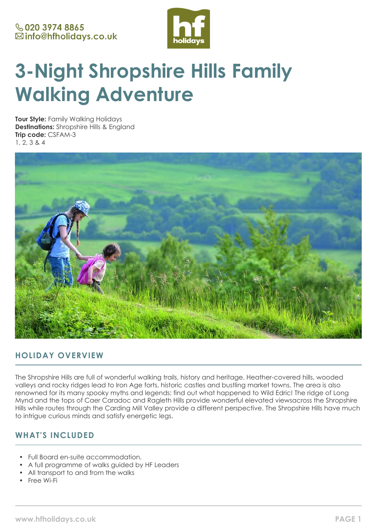

# **3-Night Shropshire Hills Family Walking Adventure**

**Tour Style:** Family Walking Holidays **Destinations:** Shropshire Hills & England **Trip code:** CSFAM-3 1, 2, 3 & 4



## **HOLIDAY OVERVIEW**

The Shropshire Hills are full of wonderful walking trails, history and heritage. Heather-covered hills, wooded valleys and rocky ridges lead to Iron Age forts, historic castles and bustling market towns. The area is also renowned for its many spooky myths and legends; find out what happened to Wild Edric! The ridge of Long Mynd and the tops of Caer Caradoc and Ragleth Hills provide wonderful elevated viewsacross the Shropshire Hills while routes through the Carding Mill Valley provide a different perspective. The Shropshire Hills have much to intrigue curious minds and satisfy energetic legs.

# **WHAT'S INCLUDED**

- Full Board en-suite accommodation.
- A full programme of walks guided by HF Leaders
- All transport to and from the walks
- Free Wi-Fi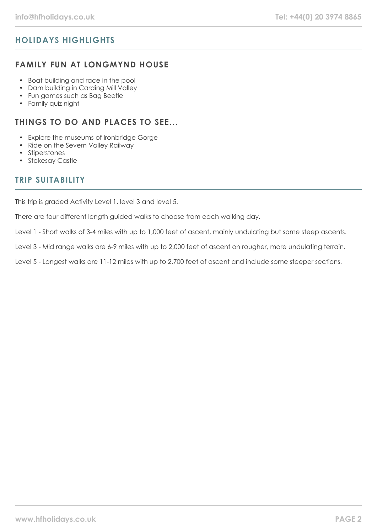# **HOLIDAYS HIGHLIGHTS**

## **FAMILY FUN AT LONGMYND HOUSE**

- Boat building and race in the pool
- Dam building in Carding Mill Valley
- Fun games such as Bag Beetle
- Family quiz night

## **THINGS TO DO AND PLACES TO SEE...**

- Explore the museums of Ironbridge Gorge
- Ride on the Severn Valley Railway
- Stiperstones
- Stokesay Castle

## **TRIP SUITABILITY**

This trip is graded Activity Level 1, level 3 and level 5.

There are four different length guided walks to choose from each walking day.

Level 1 - Short walks of 3-4 miles with up to 1,000 feet of ascent, mainly undulating but some steep ascents.

Level 3 - Mid range walks are 6-9 miles with up to 2,000 feet of ascent on rougher, more undulating terrain.

Level 5 - Longest walks are 11-12 miles with up to 2,700 feet of ascent and include some steeper sections.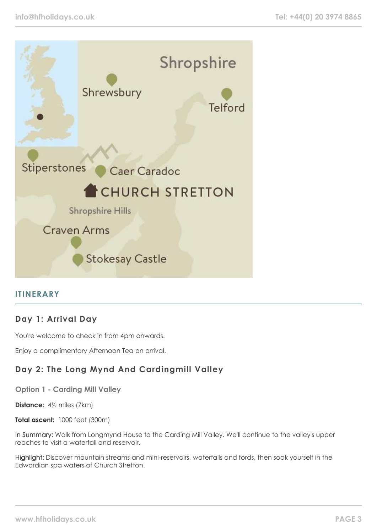

## **ITINERARY**

## **Day 1: Arrival Day**

You're welcome to check in from 4pm onwards.

Enjoy a complimentary Afternoon Tea on arrival.

# **Day 2: The Long Mynd And Cardingmill Valley**

**Option 1 - Carding Mill Valley**

**Distance:** 4½ miles (7km)

**Total ascent:** 1000 feet (300m)

In Summary: Walk from Longmynd House to the Carding Mill Valley. We'll continue to the valley's upper reaches to visit a waterfall and reservoir.

Highlight: Discover mountain streams and mini-reservoirs, waterfalls and fords, then soak yourself in the Edwardian spa waters of Church Stretton.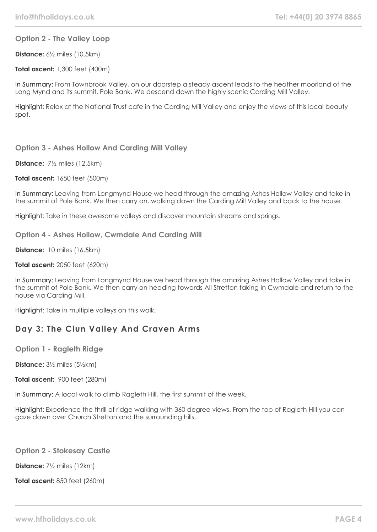#### **Option 2 - The Valley Loop**

**Distance:** 6½ miles (10.5km)

**Total ascent:** 1,300 feet (400m)

In Summary: From Townbrook Valley, on our doorstep a steady ascent leads to the heather moorland of the Long Mynd and its summit, Pole Bank. We descend down the highly scenic Carding Mill Valley.

Highlight: Relax at the National Trust cafe in the Carding Mill Valley and enjoy the views of this local beauty spot.

#### **Option 3 - Ashes Hollow And Carding Mill Valley**

**Distance:** 7½ miles (12.5km)

**Total ascent:** 1650 feet (500m)

In Summary: Leaving from Longmynd House we head through the amazing Ashes Hollow Valley and take in the summit of Pole Bank. We then carry on, walking down the Carding Mill Valley and back to the house.

Highlight: Take in these awesome valleys and discover mountain streams and springs.

#### **Option 4 - Ashes Hollow, Cwmdale And Carding Mill**

**Distance:** 10 miles (16.5km)

#### **Total ascent:** 2050 feet (620m)

In Summary: Leaving from Longmynd House we head through the amazing Ashes Hollow Valley and take in the summit of Pole Bank. We then carry on heading towards All Stretton taking in Cwmdale and return to the house via Carding Mill.

Highlight: Take in multiple valleys on this walk.

## **Day 3: The Clun Valley And Craven Arms**

**Option 1 - Ragleth Ridge**

**Distance:** 3½ miles (5½km)

**Total ascent:** 900 feet (280m)

In Summary: A local walk to climb Ragleth Hill, the first summit of the week.

Highlight: Experience the thrill of ridge walking with 360 degree views. From the top of Ragleth Hill you can gaze down over Church Stretton and the surrounding hills.

#### **Option 2 - Stokesay Castle**

**Distance:** 7½ miles (12km)

**Total ascent:** 850 feet (260m)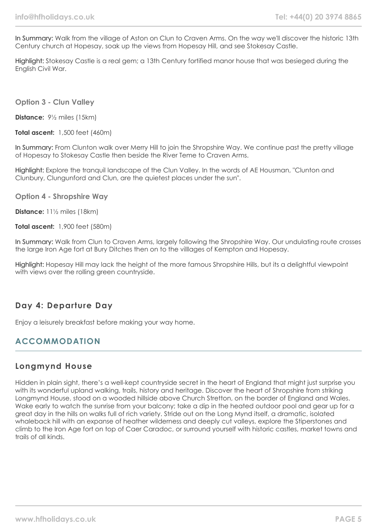In Summary: Walk from the village of Aston on Clun to Craven Arms. On the way we'll discover the historic 13th Century church at Hopesay, soak up the views from Hopesay Hill, and see Stokesay Castle.

Highlight: Stokesay Castle is a real gem; a 13th Century fortified manor house that was besieged during the English Civil War.

**Option 3 - Clun Valley**

**Distance:** 9½ miles (15km)

**Total ascent:** 1,500 feet (460m)

In Summary: From Clunton walk over Merry Hill to join the Shropshire Way. We continue past the pretty village of Hopesay to Stokesay Castle then beside the River Teme to Craven Arms.

Highlight: Explore the tranquil landscape of the Clun Valley. In the words of AE Housman, "Clunton and Clunbury, Clungunford and Clun, are the quietest places under the sun".

**Option 4 - Shropshire Way**

**Distance:** 11½ miles (18km)

**Total ascent:** 1,900 feet (580m)

In Summary: Walk from Clun to Craven Arms, largely following the Shropshire Way. Our undulating route crosses the large Iron Age fort at Bury Ditches then on to the villlages of Kempton and Hopesay.

Highlight: Hopesay Hill may lack the height of the more famous Shropshire Hills, but its a delightful viewpoint with views over the rolling green countryside.

## **Day 4: Departure Day**

Enjoy a leisurely breakfast before making your way home.

## **ACCOMMODATION**

## **Longmynd House**

Hidden in plain sight, there's a well-kept countryside secret in the heart of England that might just surprise you with its wonderful upland walking, trails, history and heritage. Discover the heart of Shropshire from striking Longmynd House, stood on a wooded hillside above Church Stretton, on the border of England and Wales. Wake early to watch the sunrise from your balcony; take a dip in the heated outdoor pool and gear up for a great day in the hills on walks full of rich variety. Stride out on the Long Mynd itself, a dramatic, isolated whaleback hill with an expanse of heather wilderness and deeply cut valleys, explore the Stiperstones and climb to the Iron Age fort on top of Caer Caradoc, or surround yourself with historic castles, market towns and trails of all kinds.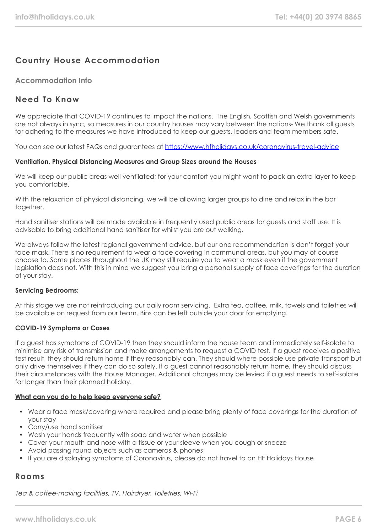# **Country House Accommodation**

#### **Accommodation Info**

## **Need To Know**

We appreciate that COVID-19 continues to impact the nations. The English, Scottish and Welsh governments are not always in sync, so measures in our country houses may vary between the nations. We thank all guests for adhering to the measures we have introduced to keep our guests, leaders and team members safe.

You can see our latest FAQs and guarantees at <https://www.hfholidays.co.uk/coronavirus-travel-advice>

#### **Ventilation, Physical Distancing Measures and Group Sizes around the Houses**

We will keep our public areas well ventilated; for your comfort you might want to pack an extra layer to keep you comfortable.

With the relaxation of physical distancing, we will be allowing larger groups to dine and relax in the bar together.

Hand sanitiser stations will be made available in frequently used public areas for guests and staff use. It is advisable to bring additional hand sanitiser for whilst you are out walking.

We always follow the latest regional government advice, but our one recommendation is don't forget your face mask! There is no requirement to wear a face covering in communal areas, but you may of course choose to. Some places throughout the UK may still require you to wear a mask even if the government legislation does not. With this in mind we suggest you bring a personal supply of face coverings for the duration of your stay.

#### **Servicing Bedrooms:**

At this stage we are not reintroducing our daily room servicing. Extra tea, coffee, milk, towels and toiletries will be available on request from our team. Bins can be left outside your door for emptying.

#### **COVID-19 Symptoms or Cases**

If a guest has symptoms of COVID-19 then they should inform the house team and immediately self-isolate to minimise any risk of transmission and make arrangements to request a COVID test. If a guest receives a positive test result, they should return home if they reasonably can. They should where possible use private transport but only drive themselves if they can do so safely. If a guest cannot reasonably return home, they should discuss their circumstances with the House Manager. Additional charges may be levied if a guest needs to self-isolate for longer than their planned holiday.

#### **What can you do to help keep everyone safe?**

- Wear a face mask/covering where required and please bring plenty of face coverings for the duration of your stay
- Carry/use hand sanitiser
- Wash your hands frequently with soap and water when possible
- Cover your mouth and nose with a tissue or your sleeve when you cough or sneeze
- Avoid passing round objects such as cameras & phones
- If you are displaying symptoms of Coronavirus, please do not travel to an HF Holidays House

## **Rooms**

Tea & coffee-making facilities, TV, Hairdryer, Toiletries, Wi-Fi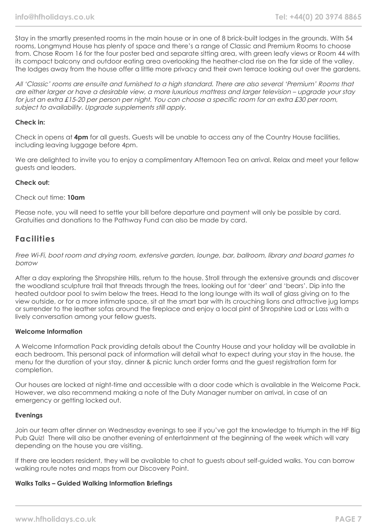Stay in the smartly presented rooms in the main house or in one of 8 brick-built lodges in the grounds. With 54 rooms, Longmynd House has plenty of space and there's a range of Classic and Premium Rooms to choose from. Chose Room 16 for the four poster bed and separate sitting area, with green leafy views or Room 44 with its compact balcony and outdoor eating area overlooking the heather-clad rise on the far side of the valley. The lodges away from the house offer a little more privacy and their own terrace looking out over the gardens.

All 'Classic' rooms are ensuite and furnished to a high standard. There are also several 'Premium' Rooms that are either larger or have a desirable view, a more luxurious mattress and larger television – upgrade your stay for just an extra £15-20 per person per night. You can choose a specific room for an extra £30 per room, subject to availability. Upgrade supplements still apply.

#### **Check in:**

Check in opens at **4pm** for all guests. Guests will be unable to access any of the Country House facilities, including leaving luggage before 4pm.

We are delighted to invite you to enjoy a complimentary Afternoon Tea on arrival. Relax and meet your fellow guests and leaders.

#### **Check out:**

#### Check out time: **10am**

Please note, you will need to settle your bill before departure and payment will only be possible by card. Gratuities and donations to the Pathway Fund can also be made by card.

## **Facilities**

Free Wi-Fi, boot room and drying room, extensive garden, lounge, bar, ballroom, library and board games to borrow

After a day exploring the Shropshire Hills, return to the house. Stroll through the extensive grounds and discover the woodland sculpture trail that threads through the trees, looking out for 'deer' and 'bears'. Dip into the heated outdoor pool to swim below the trees. Head to the long lounge with its wall of glass giving on to the view outside, or for a more intimate space, sit at the smart bar with its crouching lions and attractive jug lamps or surrender to the leather sofas around the fireplace and enjoy a local pint of Shropshire Lad or Lass with a lively conversation among your fellow guests.

#### **Welcome Information**

A Welcome Information Pack providing details about the Country House and your holiday will be available in each bedroom. This personal pack of information will detail what to expect during your stay in the house, the menu for the duration of your stay, dinner & picnic lunch order forms and the guest registration form for completion.

Our houses are locked at night-time and accessible with a door code which is available in the Welcome Pack. However, we also recommend making a note of the Duty Manager number on arrival, in case of an emergency or getting locked out.

#### **Evenings**

Join our team after dinner on Wednesday evenings to see if you've got the knowledge to triumph in the HF Big Pub Quiz! There will also be another evening of entertainment at the beginning of the week which will vary depending on the house you are visiting.

If there are leaders resident, they will be available to chat to guests about self-guided walks. You can borrow walking route notes and maps from our Discovery Point.

#### **Walks Talks – Guided Walking Information Briefings**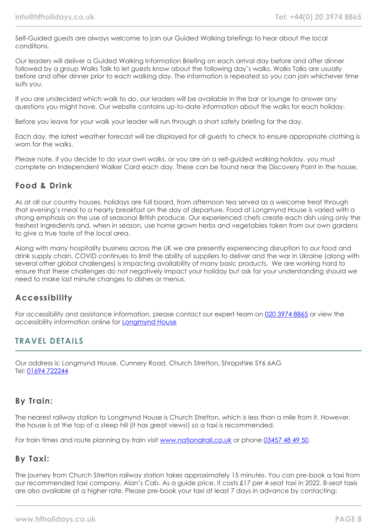Self-Guided guests are always welcome to join our Guided Walking briefings to hear about the local conditions.

Our leaders will deliver a Guided Walking Information Briefing on each arrival day before and after dinner followed by a group Walks Talk to let guests know about the following day's walks. Walks Talks are usually before and after dinner prior to each walking day. The information is repeated so you can join whichever time suits you.

If you are undecided which walk to do, our leaders will be available in the bar or lounge to answer any questions you might have. Our website contains up-to-date information about the walks for each holiday.

Before you leave for your walk your leader will run through a short safety briefing for the day.

Each day, the latest weather forecast will be displayed for all guests to check to ensure appropriate clothing is worn for the walks.

Please note, if you decide to do your own walks, or you are on a self-guided walking holiday, you must complete an Independent Walker Card each day. These can be found near the Discovery Point in the house.

## **Food & Drink**

As at all our country houses, holidays are full board, from afternoon tea served as a welcome treat through that evening's meal to a hearty breakfast on the day of departure. Food at Longmynd House is varied with a strong emphasis on the use of seasonal British produce. Our experienced chefs create each dish using only the freshest ingredients and, when in season, use home grown herbs and vegetables taken from our own gardens to give a true taste of the local area.

Along with many hospitality business across the UK we are presently experiencing disruption to our food and drink supply chain. COVID continues to limit the ability of suppliers to deliver and the war in Ukraine (along with several other global challenges) is impacting availability of many basic products. We are working hard to ensure that these challenges do not negatively impact your holiday but ask for your understanding should we need to make last minute changes to dishes or menus.

## **Accessibility**

For accessibility and assistance information, please contact our expert team on [020 3974 8865](tel:02039748865) or view the accessibility information online for [Longmynd House](https://www.hfholidays.co.uk/images/Documents/accessibility_statements/longmynd---accessibility-information---update-feb-2021.pdf)

## **TRAVEL DETAILS**

Our address is: Longmynd House, Cunnery Road, Church Stretton, Shropshire SY6 6AG Tel: [01694 722244](tel:01694722244)

# **By Train:**

The nearest railway station to Longmynd House is Church Stretton, which is less than a mile from it. However, the house is at the top of a steep hill (it has great views!) so a taxi is recommended.

For train times and route planning by train visit [www.nationalrail.co.uk](https://www.nationalrail.co.uk/) or phone [03457 48 49 50](tel:03457484950).

## **By Taxi:**

The journey from Church Stretton railway station takes approximately 15 minutes. You can pre-book a taxi from our recommended taxi company, Alan's Cab. As a guide price, it costs £17 per 4-seat taxi in 2022. 8-seat taxis are also available at a higher rate. Please pre-book your taxi at least 7 days in advance by contacting: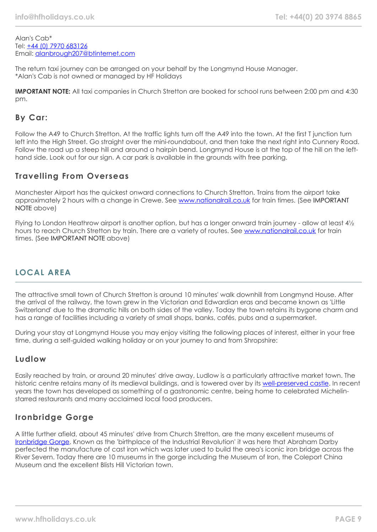Alan's Cab\* Tel: [+44 \(0\) 7970 683126](tel:07970683126) Email: [alanbrough207@btinternet.com](mailto:alanbrough207@btinternet.com)

The return taxi journey can be arranged on your behalf by the Longmynd House Manager. \*Alan's Cab is not owned or managed by HF Holidays

**IMPORTANT NOTE:** All taxi companies in Church Stretton are booked for school runs between 2:00 pm and 4:30 pm.

# **By Car:**

Follow the A49 to Church Stretton. At the traffic lights turn off the A49 into the town. At the first T junction turn left into the High Street. Go straight over the mini-roundabout, and then take the next right into Cunnery Road. Follow the road up a steep hill and around a hairpin bend. Longmynd House is at the top of the hill on the lefthand side. Look out for our sign. A car park is available in the grounds with free parking.

## **Travelling From Overseas**

Manchester Airport has the quickest onward connections to Church Stretton. Trains from the airport take approximately 2 hours with a change in Crewe. See [www.nationalrail.co.uk](https://www.nationalrail.co.uk/) for train times. (See IMPORTANT NOTE above)

Flying to London Heathrow airport is another option, but has a longer onward train journey - allow at least 4½ hours to reach Church Stretton by train. There are a variety of routes. See [www.nationalrail.co.uk](https://www.nationalrail.co.uk/) for train times. (See IMPORTANT NOTE above)

## **LOCAL AREA**

The attractive small town of Church Stretton is around 10 minutes' walk downhill from Longmynd House. After the arrival of the railway, the town grew in the Victorian and Edwardian eras and became known as 'Little Switzerland' due to the dramatic hills on both sides of the valley. Today the town retains its bygone charm and has a range of facilities including a variety of small shops, banks, cafés, pubs and a supermarket.

During your stay at Longmynd House you may enjoy visiting the following places of interest, either in your free time, during a self-guided walking holiday or on your journey to and from Shropshire:

## **Ludlow**

Easily reached by train, or around 20 minutes' drive away, Ludlow is a particularly attractive market town. The historic centre retains many of its medieval buildings, and is towered over by its [well-preserved castle](https://www.ludlowcastle.com/). In recent years the town has developed as something of a gastronomic centre, being home to celebrated Michelinstarred restaurants and many acclaimed local food producers.

## **Ironbridge Gorge**

A little further afield, about 45 minutes' drive from Church Stretton, are the many excellent museums of [Ironbridge Gorge.](https://www.ironbridge.org.uk/) Known as the 'birthplace of the Industrial Revolution' it was here that Abraham Darby perfected the manufacture of cast iron which was later used to build the area's iconic iron bridge across the River Severn. Today there are 10 museums in the gorge including the Museum of Iron, the Coleport China Museum and the excellent Blists Hill Victorian town.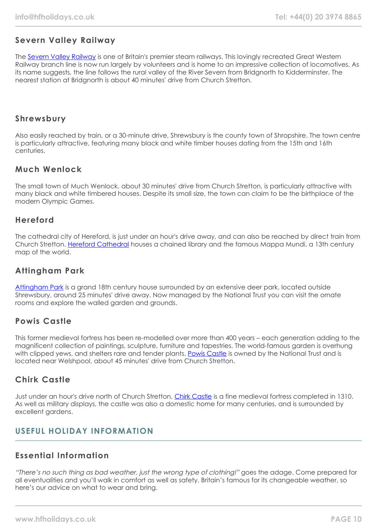# **Severn Valley Railway**

The [Severn Valley Railway](https://www.svr.co.uk/) is one of Britain's premier steam railways. This lovingly recreated Great Western Railway branch line is now run largely by volunteers and is home to an impressive collection of locomotives. As its name suggests, the line follows the rural valley of the River Severn from Bridgnorth to Kidderminster. The nearest station at Bridgnorth is about 40 minutes' drive from Church Stretton.

## **Shrewsbury**

Also easily reached by train, or a 30-minute drive, Shrewsbury is the county town of Shropshire. The town centre is particularly attractive, featuring many black and white timber houses dating from the 15th and 16th centuries.

## **Much Wenlock**

The small town of Much Wenlock, about 30 minutes' drive from Church Stretton, is particularly attractive with many black and white timbered houses. Despite its small size, the town can claim to be the birthplace of the modern Olympic Games.

## **Hereford**

The cathedral city of Hereford, is just under an hour's drive away, and can also be reached by direct train from Church Stretton. [Hereford Cathedral](https://www.herefordcathedral.org/) houses a chained library and the famous Mappa Mundi, a 13th century map of the world.

## **Attingham Park**

[Attingham Park](https://www.nationaltrust.org.uk/attingham-park) is a grand 18th century house surrounded by an extensive deer park, located outside Shrewsbury, around 25 minutes' drive away. Now managed by the National Trust you can visit the ornate rooms and explore the walled garden and grounds.

## **Powis Castle**

This former medieval fortress has been re-modelled over more than 400 years – each generation adding to the magnificent collection of paintings, sculpture, furniture and tapestries. The world-famous garden is overhung with clipped yews, and shelters rare and tender plants. [Powis Castle](https://www.nationaltrust.org.uk/powis-castle-and-garden) is owned by the National Trust and is located near Welshpool, about 45 minutes' drive from Church Stretton.

## **Chirk Castle**

Just under an hour's drive north of Church Stretton, [Chirk Castle](https://www.nationaltrust.org.uk/chirk-castle) is a fine medieval fortress completed in 1310. As well as military displays, the castle was also a domestic home for many centuries, and is surrounded by excellent gardens.

## **USEFUL HOLIDAY INFORMATION**

## **Essential Information**

"There's no such thing as bad weather, just the wrong type of clothing!" goes the adage. Come prepared for all eventualities and you'll walk in comfort as well as safety. Britain's famous for its changeable weather, so here's our advice on what to wear and bring.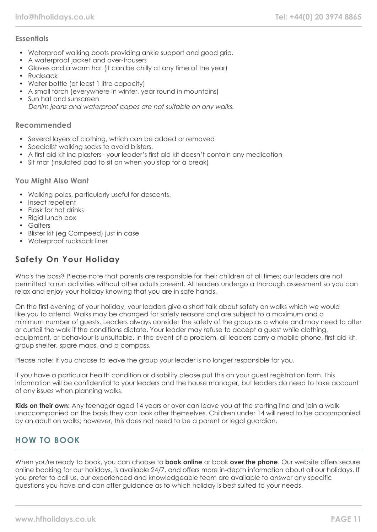## **Essentials**

- Waterproof walking boots providing ankle support and good grip.
- A waterproof jacket and over-trousers
- Gloves and a warm hat (it can be chilly at any time of the year)
- Rucksack
- Water bottle (at least 1 litre capacity)
- A small torch (everywhere in winter, year round in mountains)
- Sun hat and sunscreen Denim jeans and waterproof capes are not suitable on any walks.

#### **Recommended**

- Several layers of clothing, which can be added or removed
- Specialist walking socks to avoid blisters.
- A first aid kit inc plasters– your leader's first aid kit doesn't contain any medication
- Sit mat (insulated pad to sit on when you stop for a break)

#### **You Might Also Want**

- Walking poles, particularly useful for descents.
- Insect repellent
- Flask for hot drinks
- Rigid lunch box
- Gaiters
- Blister kit (eg Compeed) just in case
- Waterproof rucksack liner

# **Safety On Your Holiday**

Who's the boss? Please note that parents are responsible for their children at all times; our leaders are not permitted to run activities without other adults present. All leaders undergo a thorough assessment so you can relax and enjoy your holiday knowing that you are in safe hands.

On the first evening of your holiday, your leaders give a short talk about safety on walks which we would like you to attend. Walks may be changed for safety reasons and are subject to a maximum and a minimum number of guests. Leaders always consider the safety of the group as a whole and may need to alter or curtail the walk if the conditions dictate. Your leader may refuse to accept a guest while clothing, equipment, or behaviour is unsuitable. In the event of a problem, all leaders carry a mobile phone, first aid kit, group shelter, spare maps, and a compass.

Please note: If you choose to leave the group your leader is no longer responsible for you.

If you have a particular health condition or disability please put this on your guest registration form. This information will be confidential to your leaders and the house manager, but leaders do need to take account of any issues when planning walks.

**Kids on their own:** Any teenager aged 14 years or over can leave you at the starting line and join a walk unaccompanied on the basis they can look after themselves. Children under 14 will need to be accompanied by an adult on walks; however, this does not need to be a parent or legal guardian.

# **HOW TO BOOK**

When you're ready to book, you can choose to **book online** or book **over the phone**. Our website offers secure online booking for our holidays, is available 24/7, and offers more in-depth information about all our holidays. If you prefer to call us, our experienced and knowledgeable team are available to answer any specific questions you have and can offer guidance as to which holiday is best suited to your needs.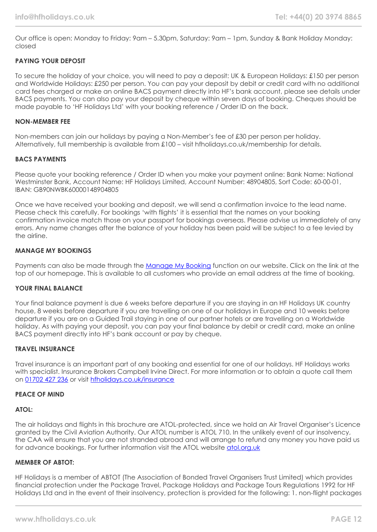Our office is open: Monday to Friday: 9am – 5.30pm, Saturday: 9am – 1pm, Sunday & Bank Holiday Monday: closed

#### **PAYING YOUR DEPOSIT**

To secure the holiday of your choice, you will need to pay a deposit: UK & European Holidays: £150 per person and Worldwide Holidays: £250 per person. You can pay your deposit by debit or credit card with no additional card fees charged or make an online BACS payment directly into HF's bank account, please see details under BACS payments. You can also pay your deposit by cheque within seven days of booking. Cheques should be made payable to 'HF Holidays Ltd' with your booking reference / Order ID on the back.

#### **NON-MEMBER FEE**

Non-members can join our holidays by paying a Non-Member's fee of £30 per person per holiday. Alternatively, full membership is available from £100 – visit hfholidays.co.uk/membership for details.

#### **BACS PAYMENTS**

Please quote your booking reference / Order ID when you make your payment online: Bank Name: National Westminster Bank, Account Name: HF Holidays Limited, Account Number: 48904805, Sort Code: 60-00-01, IBAN: GB90NWBK60000148904805

Once we have received your booking and deposit, we will send a confirmation invoice to the lead name. Please check this carefully. For bookings 'with flights' it is essential that the names on your booking confirmation invoice match those on your passport for bookings overseas. Please advise us immediately of any errors. Any name changes after the balance of your holiday has been paid will be subject to a fee levied by the airline.

#### **MANAGE MY BOOKINGS**

Payments can also be made through the [Manage My Booking](https://www.hfholidays.co.uk/about-us/bookings/my-booking) function on our website. Click on the link at the top of our homepage. This is available to all customers who provide an email address at the time of booking.

#### **YOUR FINAL BALANCE**

Your final balance payment is due 6 weeks before departure if you are staying in an HF Holidays UK country house, 8 weeks before departure if you are travelling on one of our holidays in Europe and 10 weeks before departure if you are on a Guided Trail staying in one of our partner hotels or are travelling on a Worldwide holiday. As with paying your deposit, you can pay your final balance by debit or credit card, make an online BACS payment directly into HF's bank account or pay by cheque.

#### **TRAVEL INSURANCE**

Travel insurance is an important part of any booking and essential for one of our holidays. HF Holidays works with specialist. Insurance Brokers Campbell Irvine Direct. For more information or to obtain a quote call them on [01702 427 236](tel:01702427236) or visit [hfholidays.co.uk/insurance](https://www.hfholidays.co.uk/about-us/bookings/insurance)

#### **PEACE OF MIND**

#### **ATOL:**

The air holidays and flights in this brochure are ATOL-protected, since we hold an Air Travel Organiser's Licence granted by the Civil Aviation Authority. Our ATOL number is ATOL 710. In the unlikely event of our insolvency, the CAA will ensure that you are not stranded abroad and will arrange to refund any money you have paid us for advance bookings. For further information visit the ATOL website [atol.org.uk](https://www.atol.org/)

#### **MEMBER OF ABTOT:**

HF Holidays is a member of ABTOT (The Association of Bonded Travel Organisers Trust Limited) which provides financial protection under the Package Travel, Package Holidays and Package Tours Regulations 1992 for HF Holidays Ltd and in the event of their insolvency, protection is provided for the following: 1. non-flight packages